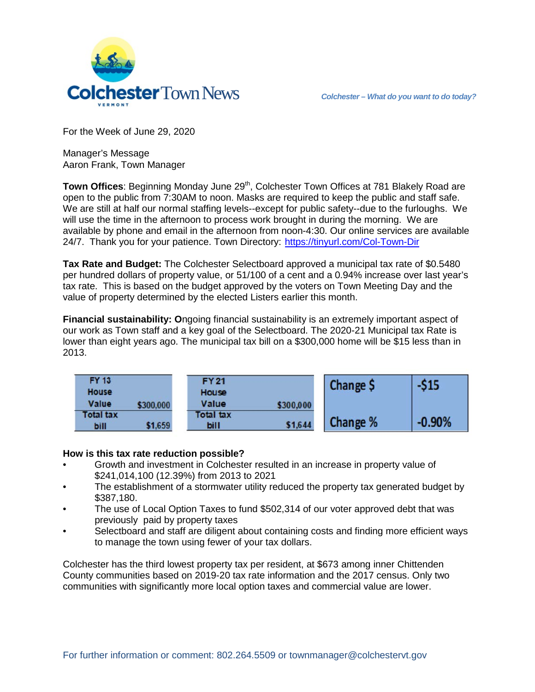

For the Week of June 29, 2020

Manager's Message Aaron Frank, Town Manager

Town Offices: Beginning Monday June 29<sup>th</sup>, Colchester Town Offices at 781 Blakely Road are open to the public from 7:30AM to noon. Masks are required to keep the public and staff safe. We are still at half our normal staffing levels--except for public safety--due to the furloughs. We will use the time in the afternoon to process work brought in during the morning. We are available by phone and email in the afternoon from noon-4:30. Our online services are available 24/7. Thank you for your patience. Town Directory: <https://tinyurl.com/Col-Town-Dir>

**Tax Rate and Budget:** The Colchester Selectboard approved a municipal tax rate of \$0.5480 per hundred dollars of property value, or 51/100 of a cent and a 0.94% increase over last year's tax rate. This is based on the budget approved by the voters on Town Meeting Day and the value of property determined by the elected Listers earlier this month.

**Financial sustainability: O**ngoing financial sustainability is an extremely important aspect of our work as Town staff and a key goal of the Selectboard. The 2020-21 Municipal tax Rate is lower than eight years ago. The municipal tax bill on a \$300,000 home will be \$15 less than in 2013.

| <b>FY 13</b><br>House    |           | <b>FY21</b><br>House |           | Change \$ | -\$15    |
|--------------------------|-----------|----------------------|-----------|-----------|----------|
| Value                    | \$300,000 | Value                | \$300,000 |           |          |
| <b>Total tax</b><br>bill | \$1,659   | Total tax<br>bill    | \$1,644   | Change %  | $-0.90%$ |

## **How is this tax rate reduction possible?**

- Growth and investment in Colchester resulted in an increase in property value of \$241,014,100 (12.39%) from 2013 to 2021
- The establishment of a stormwater utility reduced the property tax generated budget by \$387,180.
- The use of Local Option Taxes to fund \$502,314 of our voter approved debt that was previously paid by property taxes
- Selectboard and staff are diligent about containing costs and finding more efficient ways to manage the town using fewer of your tax dollars.

Colchester has the third lowest property tax per resident, at \$673 among inner Chittenden County communities based on 2019-20 tax rate information and the 2017 census. Only two communities with significantly more local option taxes and commercial value are lower.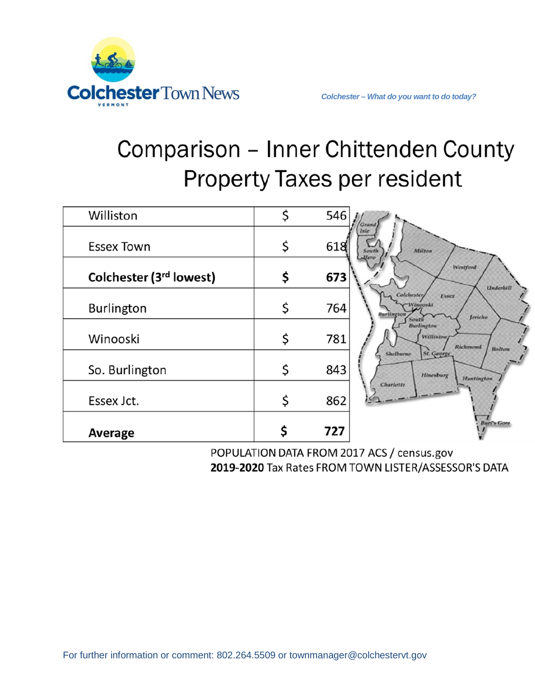

## Comparison - Inner Chittenden County **Property Taxes per resident**

| Average                 | 727       | <b>Buel's Gore</b>                                                        |
|-------------------------|-----------|---------------------------------------------------------------------------|
| Essex Jct.              | \$<br>862 | Charlotte                                                                 |
| So. Burlington          | \$<br>843 | Shelburne<br>St. George<br>Hinesburg<br>Huntington                        |
| Winooski                | \$<br>781 | <b>Burlington</b><br><b>Williston</b><br>Richmond<br><b>Bolton</b>        |
| <b>Burlington</b>       | \$<br>764 | Colchester,<br>Essex<br>Winooski<br><b>Burlington</b><br>Jericho<br>South |
| Colchester (3rd lowest) | \$<br>673 | Westford<br><b>Underhill</b>                                              |
| <b>Essex Town</b>       | \$<br>618 | 'sle<br>Milton<br>South<br>Here                                           |
| Williston               | \$<br>546 | Grand                                                                     |

POPULATION DATA FROM 2017 ACS / census.gov 2019-2020 Tax Rates FROM TOWN LISTER/ASSESSOR'S DATA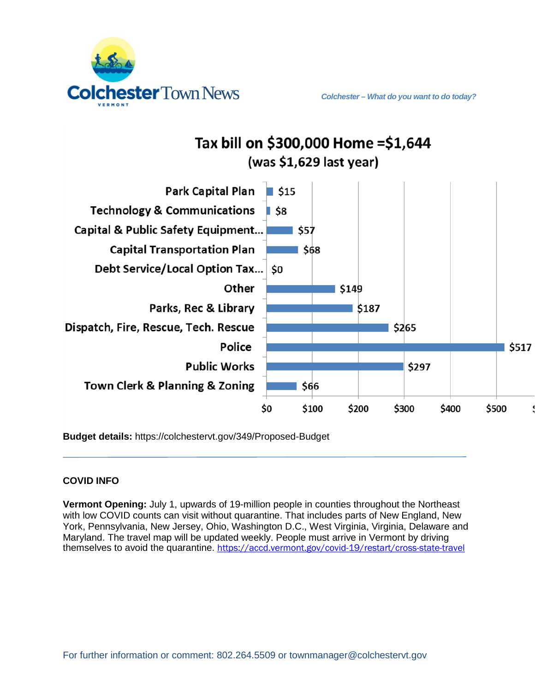



Tax bill on \$300,000 Home = \$1,644

**Budget details:** https://colchestervt.gov/349/Proposed-Budget

## **COVID INFO**

**Vermont Opening:** July 1, upwards of 19-million people in counties throughout the Northeast with low COVID counts can visit without quarantine. That includes parts of New England, New York, Pennsylvania, New Jersey, Ohio, Washington D.C., West Virginia, Virginia, Delaware and Maryland. The travel map will be updated weekly. People must arrive in Vermont by driving themselves to avoid the quarantine. <https://accd.vermont.gov/covid-19/restart/cross-state-travel>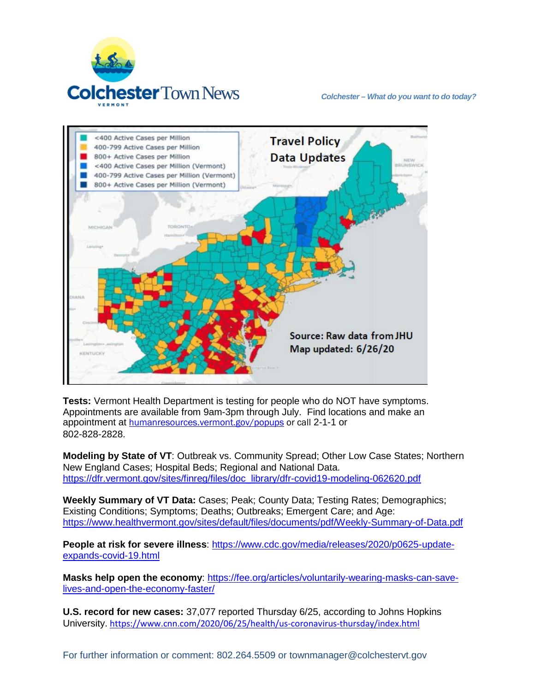



**Tests:** Vermont Health Department is testing for people who do NOT have symptoms. Appointments are available from 9am-3pm through July. Find locations and make an appointment at [humanresources.vermont.gov/popups](https://humanresources.vermont.gov/popups) or call 2-1-1 or 802-828-2828.

**Modeling by State of VT**: Outbreak vs. Community Spread; Other Low Case States; Northern New England Cases; Hospital Beds; Regional and National Data. [https://dfr.vermont.gov/sites/finreg/files/doc\\_library/dfr-covid19-modeling-062620.pdf](https://dfr.vermont.gov/sites/finreg/files/doc_library/dfr-covid19-modeling-062620.pdf)

**Weekly Summary of VT Data:** Cases; Peak; County Data; Testing Rates; Demographics; Existing Conditions; Symptoms; Deaths; Outbreaks; Emergent Care; and Age: <https://www.healthvermont.gov/sites/default/files/documents/pdf/Weekly-Summary-of-Data.pdf>

**People at risk for severe illness**: [https://www.cdc.gov/media/releases/2020/p0625-update](https://www.cdc.gov/media/releases/2020/p0625-update-expands-covid-19.html)[expands-covid-19.html](https://www.cdc.gov/media/releases/2020/p0625-update-expands-covid-19.html)

**Masks help open the economy**: [https://fee.org/articles/voluntarily-wearing-masks-can-save](https://fee.org/articles/voluntarily-wearing-masks-can-save-lives-and-open-the-economy-faster/)[lives-and-open-the-economy-faster/](https://fee.org/articles/voluntarily-wearing-masks-can-save-lives-and-open-the-economy-faster/)

**U.S. record for new cases:** 37,077 reported Thursday 6/25, according to Johns Hopkins University. <https://www.cnn.com/2020/06/25/health/us-coronavirus-thursday/index.html>